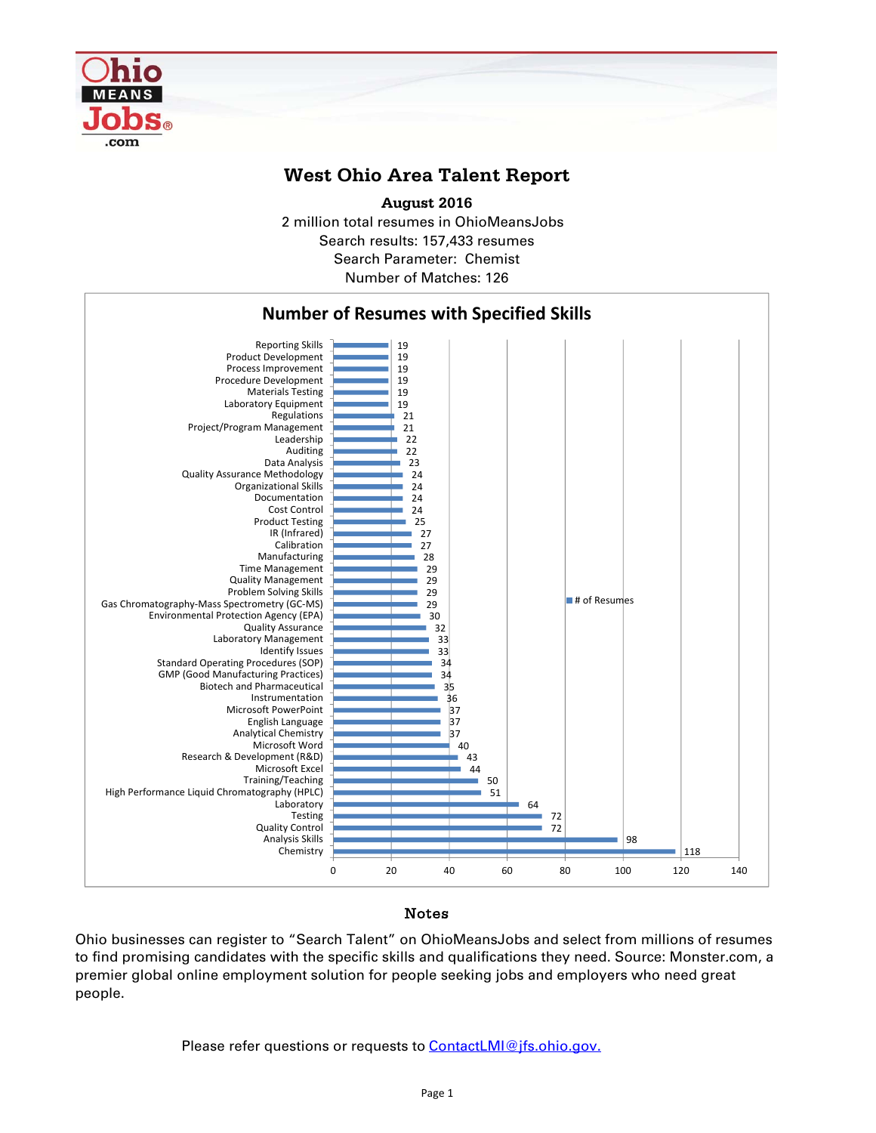

## **West Ohio Area Talent Report**

2 million total resumes in OhioMeansJobs Search results: 157,433 resumes Number of Matches: 126 **August 2016** Search Parameter: Chemist



## Notes

Ohio businesses can register to "Search Talent" on OhioMeansJobs and select from millions of resumes to find promising candidates with the specific skills and qualifications they need. Source: Monster.com, a premier global online employment solution for people seeking jobs and employers who need great people.

Please refer questions or requests to **ContactLMI@jfs.ohio.gov.**